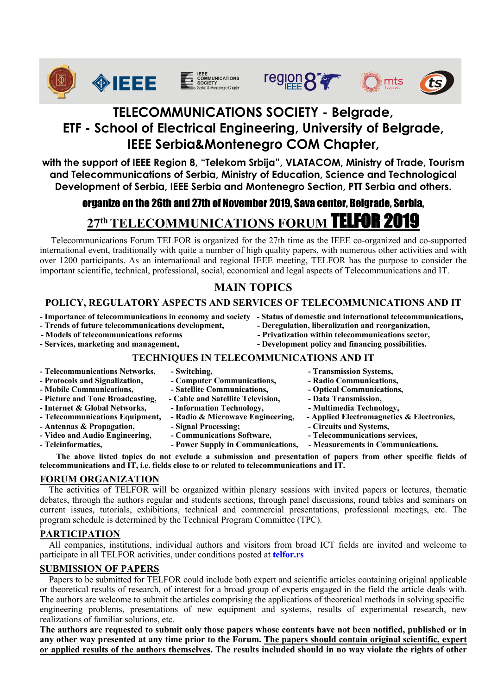











## **TELECOMMUNICATIONS SOCIETY - Belgrade, ETF - School of Electrical Engineering, University of Belgrade, IEEE Serbia&Montenegro COM Chapter,**

**with the support of IEEE Region 8, "Telekom Srbija", VLATACOM, Ministry of Trade, Tourism and Telecommunications of Serbia, Ministry of Education, Science and Technological Development of Serbia, IEEE Serbia and Montenegro Section, PTT Serbia and others.** 

# organize on the 26th and 27th of November 2019, Sava center, Belgrade, Serbia,

# **27th TELECOMMUNICATIONS FORUM TELFOR 2019**

 Telecommunications Forum TELFOR is organized for the 27th time as the IEEE co-organized and co-supported international event, traditionally with quite a number of high quality papers, with numerous other activities and with over 1200 participants. As an international and regional IEEE meeting, TELFOR has the purpose to consider the important scientific, technical, professional, social, economical and legal aspects of Telecommunications and IT.

## **MAIN TOPICS**

## **POLICY, REGULATORY ASPECTS AND SERVICES OF TELECOMMUNICATIONS AND IT**

- **- Importance of telecommunications in economy and society - Status of domestic and international telecommunications,**
- **- Trends of future telecommunications development, - Deregulation, liberalization and reorganization,**
- 
- 
- 
- 
- **- Models of telecommunications reforms - Privatization within telecommunications sector, - Services, marketing and management, - Development policy and financing possibilities.**

### **TECHNIQUES IN TELECOMMUNICATIONS AND IT**

**- Telecommunications Networks, - Switching, - Transmission Systems, - Protocols and Signalization, - Computer Communications, - Radio Communications,**  - Mobile Communications, **- Satellite Communications, 1996** - Optical Communications, **- Picture and Tone Broadcasting, - Cable and Satellite Television, - Data Transmission, - Internet & Global Networks,**  $\qquad$  **- Information Technology,**  $\qquad$  **- Multimedia Technology, - Telecommunications Equipment, - Radio & Microwave Engineering, - Applied Electromagnetics & Electronics, - Antennas & Propagation,**  $\qquad -$  **Signal Processing:**  $\qquad -$  Circuits and Systems, **- Video and Audio Engineering, - Communications Software, - Telecommunications services,**  - Teleinformatics, **- Power Supply in Communications, - Measurements in Communications.** 

**The above listed topics do not exclude a submission and presentation of papers from other specific fields of telecommunications and IT, i.e. fields close to or related to telecommunications and IT.** 

### **FORUM ORGANIZATION**

 The activities of TELFOR will be organized within plenary sessions with invited papers or lectures, thematic debates, through the authors regular and students sections, through panel discussions, round tables and seminars on current issues, tutorials, exhibitions, technical and commercial presentations, professional meetings, etc. The program schedule is determined by the Technical Program Committee (TPC). **ž**

### **PARTICIPATION**

 All companies, institutions, individual authors and visitors from broad ICT fields are invited and welcome to participate in all TELFOR activities, under conditions posted at **telfor.rs**

### **SUBMISSION OF PAPERS**

 Papers to be submitted for TELFOR could include both expert and scientific articles containing original applicable or theoretical results of research, of interest for a broad group of experts engaged in the field the article deals with. The authors are welcome to submit the articles comprising the applications of theoretical methods in solving specific engineering problems, presentations of new equipment and systems, results of experimental research, new realizations of familiar solutions, etc.

**The authors are requested to submit only those papers whose contents have not been notified, published or in**  any other way presented at any time prior to the Forum. The papers should contain original scientific, expert **or applied results of the authors themselves. The results included should in no way violate the rights of other**